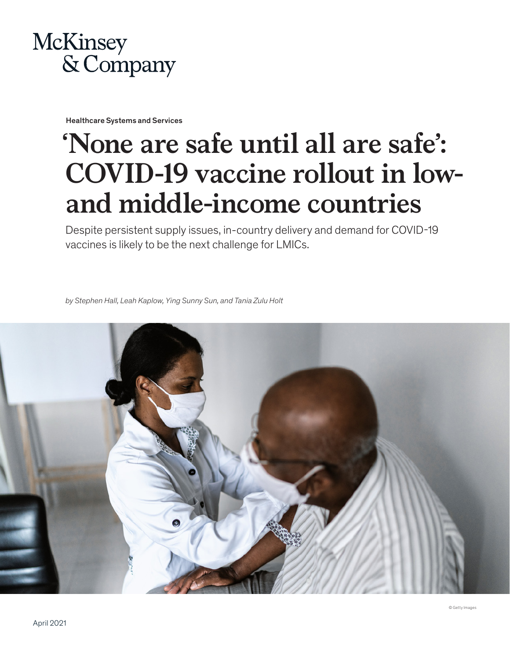

Healthcare Systems and Services

# **'None are safe until all are safe': COVID-19 vaccine rollout in lowand middle-income countries**

Despite persistent supply issues, in-country delivery and demand for COVID-19 vaccines is likely to be the next challenge for LMICs.

*by Stephen Hall, Leah Kaplow, Ying Sunny Sun, and Tania Zulu Holt*

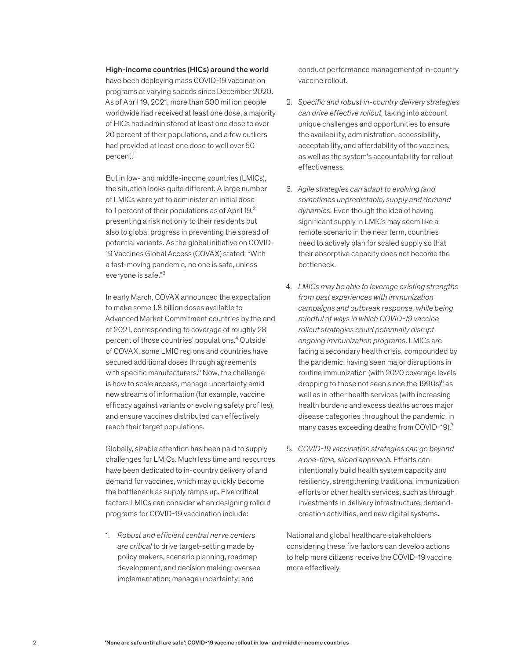#### High-income countries (HICs) around the world

have been deploying mass COVID-19 vaccination programs at varying speeds since December 2020. As of April 19, 2021, more than 500 million people worldwide had received at least one dose, a majority of HICs had administered at least one dose to over 20 percent of their populations, and a few outliers had provided at least one dose to well over 50 percent.<sup>1</sup>

But in low- and middle-income countries (LMICs), the situation looks quite different. A large number of LMICs were yet to administer an initial dose to 1 percent of their populations as of April  $19<sub>1</sub><sup>2</sup>$ presenting a risk not only to their residents but also to global progress in preventing the spread of potential variants. As the global initiative on COVID-19 Vaccines Global Access (COVAX) stated: "With a fast-moving pandemic, no one is safe, unless everyone is safe."³

In early March, COVAX announced the expectation to make some 1.8 billion doses available to Advanced Market Commitment countries by the end of 2021, corresponding to coverage of roughly 28 percent of those countries' populations.⁴ Outside of COVAX, some LMIC regions and countries have secured additional doses through agreements with specific manufacturers.<sup>5</sup> Now, the challenge is how to scale access, manage uncertainty amid new streams of information (for example, vaccine efficacy against variants or evolving safety profiles), and ensure vaccines distributed can effectively reach their target populations.

Globally, sizable attention has been paid to supply challenges for LMICs. Much less time and resources have been dedicated to in-country delivery of and demand for vaccines, which may quickly become the bottleneck as supply ramps up. Five critical factors LMICs can consider when designing rollout programs for COVID-19 vaccination include:

1. *Robust and efficient central nerve centers are critical* to drive target-setting made by policy makers, scenario planning, roadmap development, and decision making; oversee implementation; manage uncertainty; and

conduct performance management of in-country vaccine rollout.

- 2. *Specific and robust in-country delivery strategies can drive effective rollout,* taking into account unique challenges and opportunities to ensure the availability, administration, accessibility, acceptability, and affordability of the vaccines, as well as the system's accountability for rollout effectiveness.
- 3. *Agile strategies can adapt to evolving (and sometimes unpredictable) supply and demand dynamics.* Even though the idea of having significant supply in LMICs may seem like a remote scenario in the near term, countries need to actively plan for scaled supply so that their absorptive capacity does not become the bottleneck.
- 4. *LMICs may be able to leverage existing strengths from past experiences with immunization campaigns and outbreak response, while being mindful of ways in which COVID-19 vaccine rollout strategies could potentially disrupt ongoing immunization programs.* LMICs are facing a secondary health crisis, compounded by the pandemic, having seen major disruptions in routine immunization (with 2020 coverage levels dropping to those not seen since the  $1990s$ <sup>6</sup> as well as in other health services (with increasing health burdens and excess deaths across major disease categories throughout the pandemic, in many cases exceeding deaths from COVID-19).<sup>7</sup>
- 5. *COVID-19 vaccination strategies can go beyond a one-time, siloed approach.* Efforts can intentionally build health system capacity and resiliency, strengthening traditional immunization efforts or other health services, such as through investments in delivery infrastructure, demandcreation activities, and new digital systems.

National and global healthcare stakeholders considering these five factors can develop actions to help more citizens receive the COVID-19 vaccine more effectively.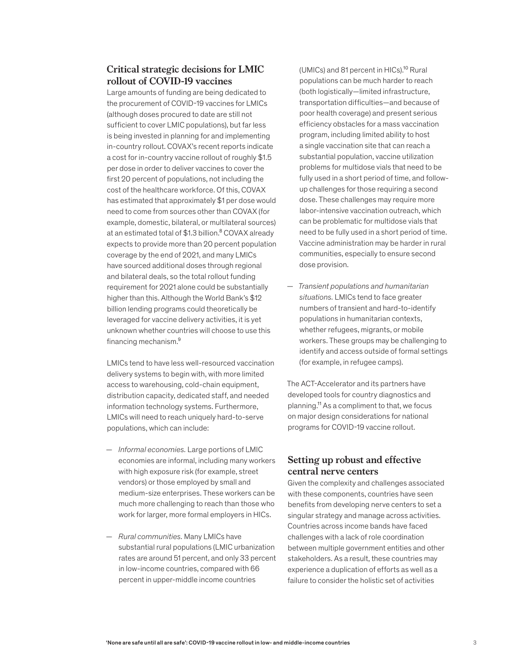## **Critical strategic decisions for LMIC rollout of COVID-19 vaccines**

Large amounts of funding are being dedicated to the procurement of COVID-19 vaccines for LMICs (although doses procured to date are still not sufficient to cover LMIC populations), but far less is being invested in planning for and implementing in-country rollout. COVAX's recent reports indicate a cost for in-country vaccine rollout of roughly \$1.5 per dose in order to deliver vaccines to cover the first 20 percent of populations, not including the cost of the healthcare workforce. Of this, COVAX has estimated that approximately \$1 per dose would need to come from sources other than COVAX (for example, domestic, bilateral, or multilateral sources) at an estimated total of \$1.3 billion.<sup>8</sup> COVAX already expects to provide more than 20 percent population coverage by the end of 2021, and many LMICs have sourced additional doses through regional and bilateral deals, so the total rollout funding requirement for 2021 alone could be substantially higher than this. Although the World Bank's \$12 billion lending programs could theoretically be leveraged for vaccine delivery activities, it is yet unknown whether countries will choose to use this financing mechanism.<sup>9</sup>

LMICs tend to have less well-resourced vaccination delivery systems to begin with, with more limited access to warehousing, cold-chain equipment, distribution capacity, dedicated staff, and needed information technology systems. Furthermore, LMICs will need to reach uniquely hard-to-serve populations, which can include:

- *Informal economies.* Large portions of LMIC economies are informal, including many workers with high exposure risk (for example, street vendors) or those employed by small and medium-size enterprises. These workers can be much more challenging to reach than those who work for larger, more formal employers in HICs.
- *Rural communities.* Many LMICs have substantial rural populations (LMIC urbanization rates are around 51 percent, and only 33 percent in low-income countries, compared with 66 percent in upper-middle income countries

(UMICs) and 81 percent in HICs).<sup>10</sup> Rural populations can be much harder to reach (both logistically—limited infrastructure, transportation difficulties—and because of poor health coverage) and present serious efficiency obstacles for a mass vaccination program, including limited ability to host a single vaccination site that can reach a substantial population, vaccine utilization problems for multidose vials that need to be fully used in a short period of time, and followup challenges for those requiring a second dose. These challenges may require more labor-intensive vaccination outreach, which can be problematic for multidose vials that need to be fully used in a short period of time. Vaccine administration may be harder in rural communities, especially to ensure second dose provision.

— *Transient populations and humanitarian situations.* LMICs tend to face greater numbers of transient and hard-to-identify populations in humanitarian contexts, whether refugees, migrants, or mobile workers. These groups may be challenging to identify and access outside of formal settings (for example, in refugee camps).

The ACT-Accelerator and its partners have developed tools for country diagnostics and planning.11 As a compliment to that, we focus on major design considerations for national programs for COVID-19 vaccine rollout.

## **Setting up robust and effective central nerve centers**

Given the complexity and challenges associated with these components, countries have seen benefits from developing nerve centers to set a singular strategy and manage across activities. Countries across income bands have faced challenges with a lack of role coordination between multiple government entities and other stakeholders. As a result, these countries may experience a duplication of efforts as well as a failure to consider the holistic set of activities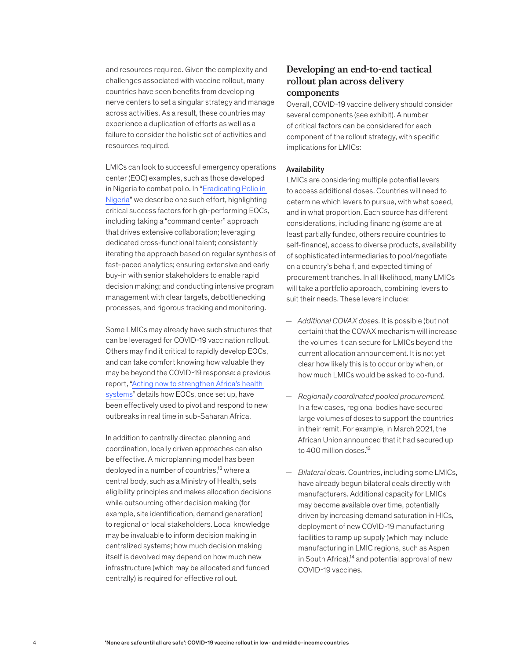and resources required. Given the complexity and challenges associated with vaccine rollout, many countries have seen benefits from developing nerve centers to set a singular strategy and manage across activities. As a result, these countries may experience a duplication of efforts as well as a failure to consider the holistic set of activities and resources required.

LMICs can look to successful emergency operations center (EOC) examples, such as those developed in Nigeria to combat polio. In "Eradicating Polio in Nigeria" we describe one such effort, highlighting critical success factors for high-performing EOCs, including taking a "command center" approach that drives extensive collaboration; leveraging dedicated cross-functional talent; consistently iterating the approach based on regular synthesis of fast-paced analytics; ensuring extensive and early buy-in with senior stakeholders to enable rapid decision making; and conducting intensive program management with clear targets, debottlenecking processes, and rigorous tracking and monitoring.

Some LMICs may already have such structures that can be leveraged for COVID-19 vaccination rollout. Others may find it critical to rapidly develop EOCs, and can take comfort knowing how valuable they may be beyond the COVID-19 response: a previous report, "Acting now to strengthen Africa's health systems" details how EOCs, once set up, have been effectively used to pivot and respond to new outbreaks in real time in sub-Saharan Africa.

In addition to centrally directed planning and coordination, locally driven approaches can also be effective. A microplanning model has been deployed in a number of countries,<sup>12</sup> where a central body, such as a Ministry of Health, sets eligibility principles and makes allocation decisions while outsourcing other decision making (for example, site identification, demand generation) to regional or local stakeholders. Local knowledge may be invaluable to inform decision making in centralized systems; how much decision making itself is devolved may depend on how much new infrastructure (which may be allocated and funded centrally) is required for effective rollout.

## **Developing an end-to-end tactical rollout plan across delivery components**

Overall, COVID-19 vaccine delivery should consider several components (see exhibit). A number of critical factors can be considered for each component of the rollout strategy, with specific implications for LMICs:

#### Availability

LMICs are considering multiple potential levers to access additional doses. Countries will need to determine which levers to pursue, with what speed, and in what proportion. Each source has different considerations, including financing (some are at least partially funded, others require countries to self-finance), access to diverse products, availability of sophisticated intermediaries to pool/negotiate on a country's behalf, and expected timing of procurement tranches. In all likelihood, many LMICs will take a portfolio approach, combining levers to suit their needs. These levers include:

- *Additional COVAX doses.* It is possible (but not certain) that the COVAX mechanism will increase the volumes it can secure for LMICs beyond the current allocation announcement. It is not yet clear how likely this is to occur or by when, or how much LMICs would be asked to co-fund.
- *Regionally coordinated pooled procurement.*  In a few cases, regional bodies have secured large volumes of doses to support the countries in their remit. For example, in March 2021, the African Union announced that it had secured up to 400 million doses.<sup>13</sup>
- *Bilateral deals.* Countries, including some LMICs, have already begun bilateral deals directly with manufacturers. Additional capacity for LMICs may become available over time, potentially driven by increasing demand saturation in HICs, deployment of new COVID-19 manufacturing facilities to ramp up supply (which may include manufacturing in LMIC regions, such as Aspen in South Africa),<sup>14</sup> and potential approval of new COVID-19 vaccines.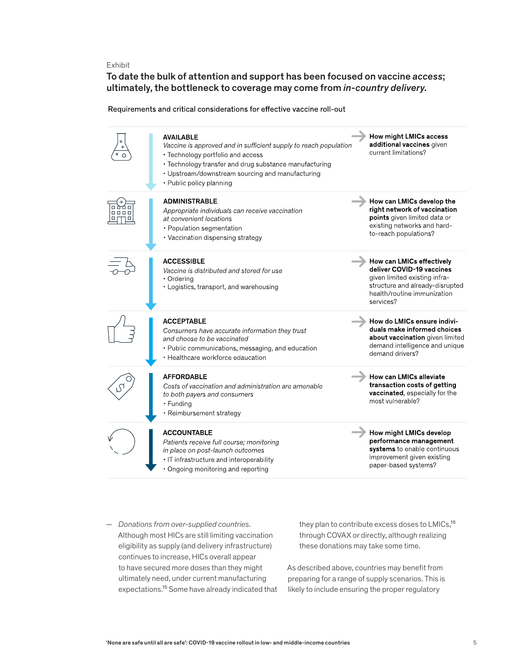Exhibit

To date the bulk of attention and support has been focused on vaccine *access*; ultimately, the bottleneck to coverage may come from *in-country delivery*.

Requirements and critical considerations for effective vaccine roll-out

|      | <b>AVAILABLE</b><br>Vaccine is approved and in sufficient supply to reach population<br>• Technology portfolio and access<br>• Technology transfer and drug substance manufacturing<br>• Upstream/downstream sourcing and manufacturing<br>• Public policy planning | How might LMICs access<br>additional vaccines given<br>current limitations?                                                                                            |
|------|---------------------------------------------------------------------------------------------------------------------------------------------------------------------------------------------------------------------------------------------------------------------|------------------------------------------------------------------------------------------------------------------------------------------------------------------------|
| 8888 | <b>ADMINISTRABLE</b><br>Appropriate individuals can receive vaccination<br>at convenient locations<br>• Population segmentation<br>• Vaccination dispensing strategy                                                                                                | How can LMICs develop the<br>right network of vaccination<br>points given limited data or<br>existing networks and hard-<br>to-reach populations?                      |
|      | <b>ACCESSIBLE</b><br>Vaccine is distributed and stored for use<br>• Ordering<br>• Logistics, transport, and warehousing                                                                                                                                             | How can LMICs effectively<br>deliver COVID-19 vaccines<br>given limited existing infra-<br>structure and already-disrupted<br>health/routine immunization<br>services? |
|      | <b>ACCEPTABLE</b><br>Consumers have accurate information they trust<br>and choose to be vaccinated<br>• Public communications, messaging, and education<br>• Healthcare workforce edaucation                                                                        | How do LMICs ensure indivi-<br>duals make informed choices<br>about vaccination given limited<br>demand intelligence and unique<br>demand drivers?                     |
|      | <b>AFFORDABLE</b><br>Costs of vaccination and administration are amenable<br>to both payers and consumers<br>• Funding<br>• Reimbursement strategy                                                                                                                  | How can LMICs alleviate<br>transaction costs of getting<br>vaccinated, especially for the<br>most vulnerable?                                                          |
|      | <b>ACCOUNTABLE</b><br>Patients receive full course; monitoring<br>in place on post-launch outcomes<br>• IT infrastructure and interoperability<br>• Ongoing monitoring and reporting                                                                                | How might LMICs develop<br>performance management<br>systems to enable continuous<br>improvement given existing<br>paper-based systems?                                |

— *Donations from over-supplied countries.*  Although most HICs are still limiting vaccination eligibility as supply (and delivery infrastructure) continues to increase, HICs overall appear to have secured more doses than they might ultimately need, under current manufacturing expectations.15 Some have already indicated that they plan to contribute excess doses to LMICs,<sup>16</sup> through COVAX or directly, although realizing these donations may take some time.

As described above, countries may benefit from preparing for a range of supply scenarios. This is likely to include ensuring the proper regulatory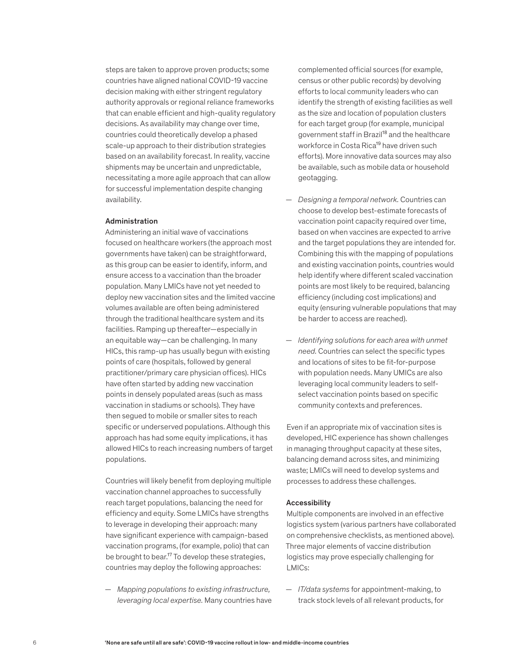steps are taken to approve proven products; some countries have aligned national COVID-19 vaccine decision making with either stringent regulatory authority approvals or regional reliance frameworks that can enable efficient and high-quality regulatory decisions. As availability may change over time, countries could theoretically develop a phased scale-up approach to their distribution strategies based on an availability forecast. In reality, vaccine shipments may be uncertain and unpredictable, necessitating a more agile approach that can allow for successful implementation despite changing availability.

#### Administration

Administering an initial wave of vaccinations focused on healthcare workers (the approach most governments have taken) can be straightforward, as this group can be easier to identify, inform, and ensure access to a vaccination than the broader population. Many LMICs have not yet needed to deploy new vaccination sites and the limited vaccine volumes available are often being administered through the traditional healthcare system and its facilities. Ramping up thereafter—especially in an equitable way—can be challenging. In many HICs, this ramp-up has usually begun with existing points of care (hospitals, followed by general practitioner/primary care physician offices). HICs have often started by adding new vaccination points in densely populated areas (such as mass vaccination in stadiums or schools). They have then segued to mobile or smaller sites to reach specific or underserved populations. Although this approach has had some equity implications, it has allowed HICs to reach increasing numbers of target populations.

Countries will likely benefit from deploying multiple vaccination channel approaches to successfully reach target populations, balancing the need for efficiency and equity. Some LMICs have strengths to leverage in developing their approach: many have significant experience with campaign-based vaccination programs, (for example, polio) that can be brought to bear.<sup>17</sup> To develop these strategies, countries may deploy the following approaches:

— *Mapping populations to existing infrastructure, leveraging local expertise.* Many countries have complemented official sources (for example, census or other public records) by devolving efforts to local community leaders who can identify the strength of existing facilities as well as the size and location of population clusters for each target group (for example, municipal government staff in Brazil<sup>18</sup> and the healthcare workforce in Costa Rica<sup>19</sup> have driven such efforts). More innovative data sources may also be available, such as mobile data or household geotagging.

- *Designing a temporal network.* Countries can choose to develop best-estimate forecasts of vaccination point capacity required over time, based on when vaccines are expected to arrive and the target populations they are intended for. Combining this with the mapping of populations and existing vaccination points, countries would help identify where different scaled vaccination points are most likely to be required, balancing efficiency (including cost implications) and equity (ensuring vulnerable populations that may be harder to access are reached).
- *Identifying solutions for each area with unmet need.* Countries can select the specific types and locations of sites to be fit-for-purpose with population needs. Many UMICs are also leveraging local community leaders to selfselect vaccination points based on specific community contexts and preferences.

Even if an appropriate mix of vaccination sites is developed, HIC experience has shown challenges in managing throughput capacity at these sites, balancing demand across sites, and minimizing waste; LMICs will need to develop systems and processes to address these challenges.

#### Accessibility

Multiple components are involved in an effective logistics system (various partners have collaborated on comprehensive checklists, as mentioned above). Three major elements of vaccine distribution logistics may prove especially challenging for LMICs:

— *IT/data systems* for appointment*-*making, to track stock levels of all relevant products, for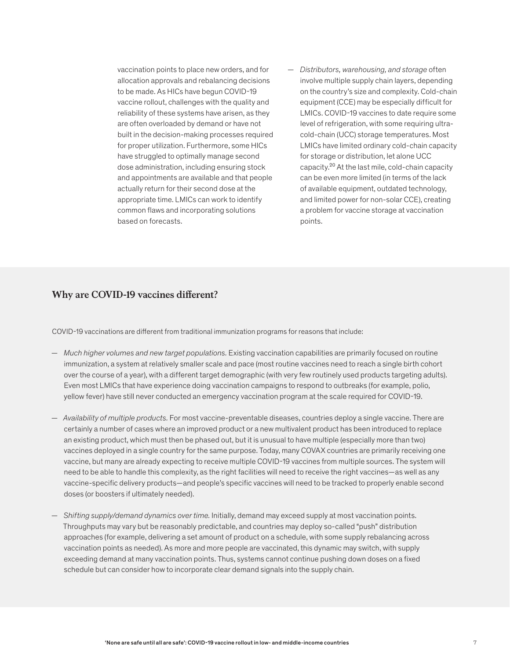vaccination points to place new orders, and for allocation approvals and rebalancing decisions to be made. As HICs have begun COVID-19 vaccine rollout, challenges with the quality and reliability of these systems have arisen, as they are often overloaded by demand or have not built in the decision-making processes required for proper utilization. Furthermore, some HICs have struggled to optimally manage second dose administration, including ensuring stock and appointments are available and that people actually return for their second dose at the appropriate time. LMICs can work to identify common flaws and incorporating solutions based on forecasts.

— *Distributors, warehousing, and storage* often involve multiple supply chain layers, depending on the country's size and complexity. Cold-chain equipment (CCE) may be especially difficult for LMICs. COVID-19 vaccines to date require some level of refrigeration, with some requiring ultracold-chain (UCC) storage temperatures. Most LMICs have limited ordinary cold-chain capacity for storage or distribution, let alone UCC capacity.20 At the last mile, cold-chain capacity can be even more limited (in terms of the lack of available equipment, outdated technology, and limited power for non-solar CCE), creating a problem for vaccine storage at vaccination points.

# **Why are COVID-19 vaccines different?**

COVID-19 vaccinations are different from traditional immunization programs for reasons that include:

- *Much higher volumes and new target populations.* Existing vaccination capabilities are primarily focused on routine immunization, a system at relatively smaller scale and pace (most routine vaccines need to reach a single birth cohort over the course of a year), with a different target demographic (with very few routinely used products targeting adults). Even most LMICs that have experience doing vaccination campaigns to respond to outbreaks (for example, polio, yellow fever) have still never conducted an emergency vaccination program at the scale required for COVID-19.
- *Availability of multiple products.* For most vaccine-preventable diseases, countries deploy a single vaccine. There are certainly a number of cases where an improved product or a new multivalent product has been introduced to replace an existing product, which must then be phased out, but it is unusual to have multiple (especially more than two) vaccines deployed in a single country for the same purpose. Today, many COVAX countries are primarily receiving one vaccine, but many are already expecting to receive multiple COVID-19 vaccines from multiple sources. The system will need to be able to handle this complexity, as the right facilities will need to receive the right vaccines—as well as any vaccine-specific delivery products—and people's specific vaccines will need to be tracked to properly enable second doses (or boosters if ultimately needed).
- *Shifting supply/demand dynamics over time.* Initially, demand may exceed supply at most vaccination points. Throughputs may vary but be reasonably predictable, and countries may deploy so-called "push" distribution approaches (for example, delivering a set amount of product on a schedule, with some supply rebalancing across vaccination points as needed). As more and more people are vaccinated, this dynamic may switch, with supply exceeding demand at many vaccination points. Thus, systems cannot continue pushing down doses on a fixed schedule but can consider how to incorporate clear demand signals into the supply chain.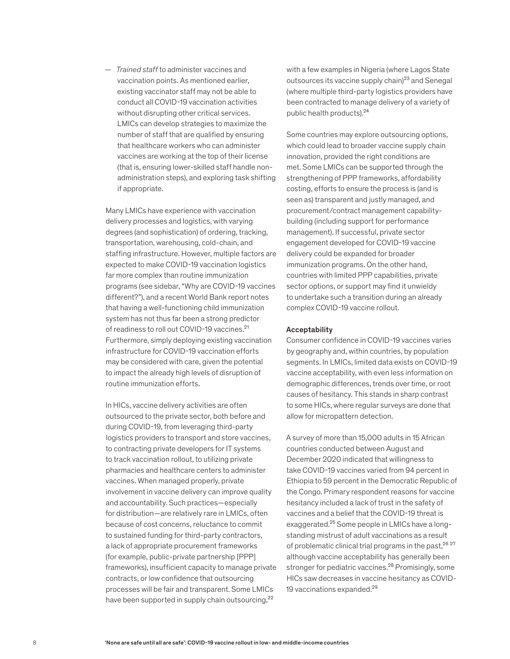— *Trained staff* to administer vaccines and vaccination points. As mentioned earlier, existing vaccinator staff may not be able to conduct all COVID-19 vaccination activities without disrupting other critical services. LMICs can develop strategies to maximize the number of staff that are qualified by ensuring that healthcare workers who can administer vaccines are working at the top of their license (that is, ensuring lower-skilled staff handle nonadministration steps), and exploring task shifting if appropriate.

Many LMICs have experience with vaccination delivery processes and logistics, with varying degrees (and sophistication) of ordering, tracking, transportation, warehousing, cold-chain, and staffing infrastructure. However, multiple factors are expected to make COVID-19 vaccination logistics far more complex than routine immunization programs (see sidebar, "Why are COVID-19 vaccines different?"), and a recent World Bank report notes that having a well-functioning child immunization system has not thus far been a strong predictor of readiness to roll out COVID-19 vaccines.<sup>21</sup> Furthermore, simply deploying existing vaccination infrastructure for COVID-19 vaccination efforts may be considered with care, given the potential to impact the already high levels of disruption of routine immunization efforts.

In HICs, vaccine delivery activities are often outsourced to the private sector, both before and during COVID-19, from leveraging third-party logistics providers to transport and store vaccines, to contracting private developers for IT systems to track vaccination rollout, to utilizing private pharmacies and healthcare centers to administer vaccines. When managed properly, private involvement in vaccine delivery can improve quality and accountability. Such practices—especially for distribution—are relatively rare in LMICs, often because of cost concerns, reluctance to commit to sustained funding for third-party contractors, a lack of appropriate procurement frameworks (for example, public-private partnership [PPP] frameworks), insufficient capacity to manage private contracts, or low confidence that outsourcing processes will be fair and transparent. Some LMICs have been supported in supply chain outsourcing,<sup>22</sup>

with a few examples in Nigeria (where Lagos State outsources its vaccine supply chain)<sup>23</sup> and Senegal (where multiple third-party logistics providers have been contracted to manage delivery of a variety of public health products).24

Some countries may explore outsourcing options, which could lead to broader vaccine supply chain innovation, provided the right conditions are met. Some LMICs can be supported through the strengthening of PPP frameworks, affordability costing, efforts to ensure the process is (and is seen as) transparent and justly managed, and procurement/contract management capabilitybuilding (including support for performance management). If successful, private sector engagement developed for COVID-19 vaccine delivery could be expanded for broader immunization programs. On the other hand, countries with limited PPP capabilities, private sector options, or support may find it unwieldy to undertake such a transition during an already complex COVID-19 vaccine rollout.

#### Acceptability

Consumer confidence in COVID-19 vaccines varies by geography and, within countries, by population segments. In LMICs, limited data exists on COVID-19 vaccine acceptability, with even less information on demographic differences, trends over time, or root causes of hesitancy. This stands in sharp contrast to some HICs, where regular surveys are done that allow for micropattern detection.

A survey of more than 15,000 adults in 15 African countries conducted between August and December 2020 indicated that willingness to take COVID-19 vaccines varied from 94 percent in Ethiopia to 59 percent in the Democratic Republic of the Congo. Primary respondent reasons for vaccine hesitancy included a lack of trust in the safety of vaccines and a belief that the COVID-19 threat is exaggerated.25 Some people in LMICs have a longstanding mistrust of adult vaccinations as a result of problematic clinical trial programs in the past,<sup>26 27</sup> although vaccine acceptability has generally been stronger for pediatric vaccines.<sup>28</sup> Promisingly, some HICs saw decreases in vaccine hesitancy as COVID-19 vaccinations expanded.<sup>29</sup>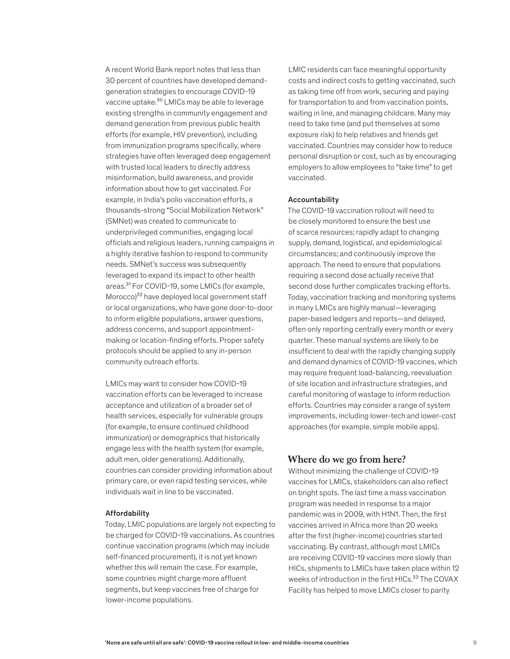A recent World Bank report notes that less than 30 percent of countries have developed demandgeneration strategies to encourage COVID-19 vaccine uptake.30 LMICs may be able to leverage existing strengths in community engagement and demand generation from previous public health efforts (for example, HIV prevention), including from immunization programs specifically, where strategies have often leveraged deep engagement with trusted local leaders to directly address misinformation, build awareness, and provide information about how to get vaccinated. For example, in India's polio vaccination efforts, a thousands-strong "Social Mobilization Network" (SMNet) was created to communicate to underprivileged communities, engaging local officials and religious leaders, running campaigns in a highly iterative fashion to respond to community needs. SMNet's success was subsequently leveraged to expand its impact to other health areas.31 For COVID-19, some LMICs (for example, Morocco)<sup>32</sup> have deployed local government staff or local organizations, who have gone door-to-door to inform eligible populations, answer questions, address concerns, and support appointmentmaking or location-finding efforts. Proper safety protocols should be applied to any in-person community outreach efforts.

LMICs may want to consider how COVID-19 vaccination efforts can be leveraged to increase acceptance and utilization of a broader set of health services, especially for vulnerable groups (for example, to ensure continued childhood immunization) or demographics that historically engage less with the health system (for example, adult men, older generations). Additionally, countries can consider providing information about primary care, or even rapid testing services, while individuals wait in line to be vaccinated.

#### Affordability

Today, LMIC populations are largely not expecting to be charged for COVID-19 vaccinations. As countries continue vaccination programs (which may include self-financed procurement), it is not yet known whether this will remain the case. For example, some countries might charge more affluent segments, but keep vaccines free of charge for lower-income populations.

LMIC residents can face meaningful opportunity costs and indirect costs to getting vaccinated, such as taking time off from work, securing and paying for transportation to and from vaccination points, waiting in line, and managing childcare. Many may need to take time (and put themselves at some exposure risk) to help relatives and friends get vaccinated. Countries may consider how to reduce personal disruption or cost, such as by encouraging employers to allow employees to "take time" to get vaccinated.

#### Accountability

The COVID-19 vaccination rollout will need to be closely monitored to ensure the best use of scarce resources; rapidly adapt to changing supply, demand, logistical, and epidemiological circumstances; and continuously improve the approach. The need to ensure that populations requiring a second dose actually receive that second dose further complicates tracking efforts. Today, vaccination tracking and monitoring systems in many LMICs are highly manual—leveraging paper-based ledgers and reports—and delayed, often only reporting centrally every month or every quarter. These manual systems are likely to be insufficient to deal with the rapidly changing supply and demand dynamics of COVID-19 vaccines, which may require frequent load-balancing, reevaluation of site location and infrastructure strategies, and careful monitoring of wastage to inform reduction efforts. Countries may consider a range of system improvements, including lower-tech and lower-cost approaches (for example, simple mobile apps).

### **Where do we go from here?**

Without minimizing the challenge of COVID-19 vaccines for LMICs, stakeholders can also reflect on bright spots. The last time a mass vaccination program was needed in response to a major pandemic was in 2009, with H1N1. Then, the first vaccines arrived in Africa more than 20 weeks after the first (higher-income) countries started vaccinating. By contrast, although most LMICs are receiving COVID-19 vaccines more slowly than HICs, shipments to LMICs have taken place within 12 weeks of introduction in the first HICs.<sup>33</sup> The COVAX Facility has helped to move LMICs closer to parity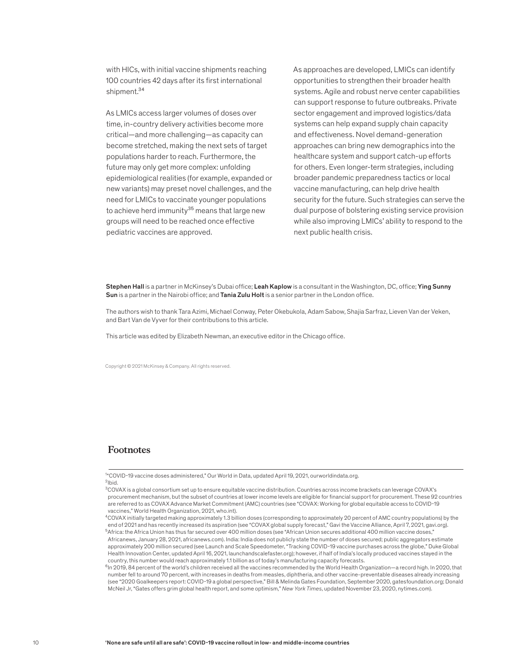with HICs, with initial vaccine shipments reaching 100 countries 42 days after its first international shipment.<sup>34</sup>

As LMICs access larger volumes of doses over time, in-country delivery activities become more critical—and more challenging—as capacity can become stretched, making the next sets of target populations harder to reach. Furthermore, the future may only get more complex: unfolding epidemiological realities (for example, expanded or new variants) may preset novel challenges, and the need for LMICs to vaccinate younger populations to achieve herd immunity $35$  means that large new groups will need to be reached once effective pediatric vaccines are approved.

As approaches are developed, LMICs can identify opportunities to strengthen their broader health systems. Agile and robust nerve center capabilities can support response to future outbreaks. Private sector engagement and improved logistics/data systems can help expand supply chain capacity and effectiveness. Novel demand-generation approaches can bring new demographics into the healthcare system and support catch-up efforts for others. Even longer-term strategies, including broader pandemic preparedness tactics or local vaccine manufacturing, can help drive health security for the future. Such strategies can serve the dual purpose of bolstering existing service provision while also improving LMICs' ability to respond to the next public health crisis.

Stephen Hall is a partner in McKinsey's Dubai office; Leah Kaplow is a consultant in the Washington, DC, office; Ying Sunny Sun is a partner in the Nairobi office; and Tania Zulu Holt is a senior partner in the London office.

The authors wish to thank Tara Azimi, Michael Conway, Peter Okebukola, Adam Sabow, Shajia Sarfraz, Lieven Van der Veken, and Bart Van de Vyver for their contributions to this article.

This article was edited by Elizabeth Newman, an executive editor in the Chicago office.

Copyright © 2021 McKinsey & Company. All rights reserved.

## **Footnotes**

<sup>1</sup> "COVID-19 vaccine doses administered," Our World in Data, updated April 19, 2021, ourworldindata.org.  $^{2}$ Ibid.

<sup>&</sup>lt;sup>3</sup>COVAX is a global consortium set up to ensure equitable vaccine distribution. Countries across income brackets can leverage COVAX's procurement mechanism, but the subset of countries at lower income levels are eligible for financial support for procurement. These 92 countries are referred to as COVAX Advance Market Commitment (AMC) countries (see "COVAX: Working for global equitable access to COVID-19 vaccines," World Health Organization, 2021, who.int).

<sup>4</sup>COVAX initially targeted making approximately 1.3 billion doses (corresponding to approximately 20 percent of AMC country populations) by the end of 2021 and has recently increased its aspiration (see "COVAX global supply forecast," Gavi the Vaccine Alliance, April 7, 2021, gavi.org). <sup>5</sup>Africa: the Africa Union has thus far secured over 400 million doses (see "African Union secures additional 400 million vaccine doses,' Africanews, January 28, 2021, africanews.com). India: India does not publicly state the number of doses secured; public aggregators estimate approximately 200 million secured (see Launch and Scale Speedometer, "Tracking COVID-19 vaccine purchases across the globe," Duke Global Health Innovation Center, updated April 16, 2021, launchandscalefaster.org); however, if half of India's locally produced vaccines stayed in the country, this number would reach approximately 1.1 billion as of today's manufacturing capacity forecasts.

 $^6$ In 2019, 84 percent of the world's children received all the vaccines recommended by the World Health Organization—a record high. In 2020, that number fell to around 70 percent, with increases in deaths from measles, diphtheria, and other vaccine-preventable diseases already increasing (see "2020 Goalkeepers report: COVID-19 a global perspective," Bill & Melinda Gates Foundation, September 2020, gatesfoundation.org; Donald McNeil Jr, "Gates offers grim global health report, and some optimism," *New York Times*, updated November 23, 2020, nytimes.com).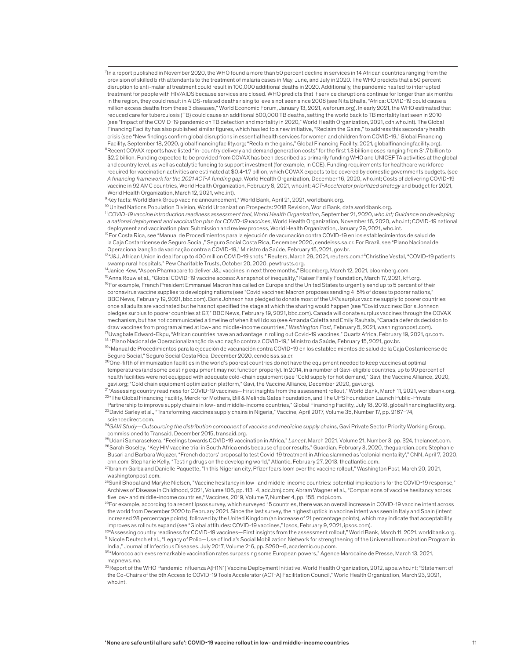$^7$ In a report published in November 2020, the WHO found a more than 50 percent decline in services in 14 African countries ranging from the provision of skilled birth attendants to the treatment of malaria cases in May, June, and July in 2020. The WHO predicts that a 50 percent disruption to anti-malarial treatment could result in 100,000 additional deaths in 2020. Additionally, the pandemic has led to interrupted treatment for people with HIV/AIDS because services are closed. WHO predicts that if service disruptions continue for longer than six months in the region, they could result in AIDS-related deaths rising to levels not seen since 2008 (see Nita Bhalla, "Africa: COVID-19 could cause a million excess deaths from these 3 diseases," World Economic Forum, January 13, 2021, weforum.org). In early 2021, the WHO estimated that reduced care for tuberculosis (TB) could cause an additional 500,000 TB deaths, setting the world back to TB mortality last seen in 2010 (see "Impact of the COVID-19 pandemic on TB detection and mortality in 2020," World Health Organization, 2021, cdn.who.int). The Global Financing Facility has also published similar figures, which has led to a new initiative, "Reclaim the Gains," to address this secondary health crisis (see "New findings confirm global disruptions in essential health services for women and children from COVID-19," Global Financing Facility, September 18, 2020, globalfinancingfacility.org; "Reclaim the gains," Global Financing Facility, 2021, globalfinancingfacility.org). <sup>8</sup>Recent COVAX reports have listed "in-country delivery and demand generation costs" for the first 1.3 billion doses ranging from \$1.7 billion to \$2.2 billion. Funding expected to be provided from COVAX has been described as primarily funding WHO and UNICEF TA activities at the global and country level, as well as catalytic funding to support investment (for example, in CCE). Funding requirements for healthcare workforce required for vaccination activities are estimated at \$0.4-1.7 billion, which COVAX expects to be covered by domestic governments budgets. (see *A financing framework for the 2021 ACT-A funding gap*, World Health Organization, December 16, 2020, who.int; Costs of delivering COVID-19 vaccine in 92 AMC countries, World Health Organization, February 8, 2021, who.int; *ACT-Accelerator prioritized strategy* and budget for 2021, World Health Organization, March 12, 2021, who.int).

<sup>9</sup>Key facts: World Bank Group vaccine announcement," World Bank, April 21, 2021, worldbank.org.

10 United Nations Population Division, World Urbanization Prospects: 2018 Revision, World Bank, data.worldbank.org.

<sup>11</sup>*COVID-19 vaccine introduction readiness assessment tool*, *World Health Organization,* September 21, 2020, *who.int; Guidance on developing a national deployment and vaccination plan for COVID-19 vaccines*, World Health Organization, November 16, 2020, who.int; COVID-19 national deployment and vaccination plan: Submission and review process, World Health Organization, January 29, 2021, who.int.

12For Costa Rica, see "Manual de Procedimientos para la ejecución de vacunación contra COVID-19 en los establecimientos de salud de la Caja Costarricense de Seguro Social," Seguro Social Costa Rica, December 2020, cendeisss.sa.cr. For Brazil, see "Plano Nacional de Operacionalizanção da vacinação contra a COVID-19," Ministro da Saúde, February 15, 2021, gov.br.

13"J&J, African Union in deal for up to 400 million COVID-19 shots," Reuters, March 29, 2021, reuters.com.14Christine Vestal, "COVID-19 patients swamp rural hospitals," Pew Charitable Trusts, October 20, 2020, pewtrusts.org.

1 ⁴Janice Kew, "Aspen Pharmacare to deliver J&J vaccines in next three months," Bloomberg, March 12, 2021, bloomberg.com.

<sup>15</sup>Anna Rouw et al., "Global COVID-19 vaccine access: A snapshot of inequality," Kaiser Family Foundation, March 17, 2021, kff.org. 16For example, French President Emmanuel Macron has called on Europe and the United States to urgently send up to 5 percent of their coronavirus vaccine supplies to developing nations (see "Covid vaccines: Macron proposes sending 4-5% of doses to poorer nations," BBC News, February 19, 2021, bbc.com). Boris Johnson has pledged to donate most of the UK's surplus vaccine supply to poorer countries once all adults are vaccinated but he has not specified the stage at which the sharing would happen (see "Covid vaccines: Boris Johnson pledges surplus to poorer countries at G7," BBC News, February 19, 2021, bbc.com). Canada will donate surplus vaccines through the COVAX mechanism, but has not communicated a timeline of when it will do so (see Amanda Coletta and Emily Rauhala, "Canada defends decision to draw vaccines from program aimed at low- and middle-income countries," *Washington Post,* February 5, 2021, washingtonpost.com). 17Uwagbale Edward-Ekpu, "African countries have an advantage in rolling out Covid-19 vaccines," Quartz Africa, February 19, 2021, qz.com. <sup>18</sup> "Plano Nacional de Operacionalizanção da vacinação contra a COVID-19," Ministro da Saúde, February 15, 2021, gov.br.

19"Manual de Procedimientos para la ejecución de vacunación contra COVID-19 en los establecimientos de salud de la Caja Costarricense de Seguro Social," Seguro Social Costa Rica, December 2020, cendeisss.sa.cr.

 $^{20}$ One-fifth of immunization facilities in the world's poorest countries do not have the equipment needed to keep vaccines at optimal temperatures (and some existing equipment may not function properly). In 2014, in a number of Gavi-eligible countries, up to 90 percent of health facilities were not equipped with adequate cold-chain equipment (see "Cold supply for hot demand," Gavi, the Vaccine Alliance, 2020, gavi.org; "Cold chain equipment optimization platform," Gavi, the Vaccine Alliance, December 2020, gavi.org).

21"Assessing country readiness for COVID-19 vaccines—First insights from the assessment rollout," World Bank, March 11, 2021, worldbank.org. 22"The Global Financing Facility, Merck for Mothers, Bill & Melinda Gates Foundation, and The UPS Foundation Launch Public-Private Partnership to improve supply chains in low- and middle-income countries," Global Financing Facility, July 18, 2018, globalfinancingfacility.org.

23David Sarley et al., "Transforming vaccines supply chains in Nigeria," Vaccine, April 2017, Volume 35, Number 17, pp. 2167−74, sciencedirect.com.

<sup>24</sup>*GAVI Study—Outsourcing the distribution component of vaccine and medicine supply chains*, Gavi Private Sector Priority Working Group, commissioned to Transaid, December 2015, transaid.org.

25Udani Samarasekera, "Feelings towards COVID-19 vaccination in Africa," *Lancet*, March 2021, Volume 21, Number 3, pp. 324, thelancet.com. <sup>26</sup>Sarah Boseley, "Key HIV vaccine trial in South Africa ends because of poor results," Guardian, February 3, 2020, theguardian.com; Stephanie Busari and Barbara Wojazer, "French doctors' proposal to test Covid-19 treatment in Africa slammed as 'colonial mentality'," CNN, April 7, 2020, cnn.com; Stephanie Kelly, "Testing drugs on the developing world," Atlantic, February 27, 2013, theatlantic.com.

27Ibrahim Garba and Danielle Paquette, "In this Nigerian city, Pfizer fears loom over the vaccine rollout," Washington Post, March 20, 2021, washingtonpost.com.

<sup>28</sup>Sunil Bhopal and Maryke Nielsen, "Vaccine hesitancy in low- and middle-income countries: potential implications for the COVID-19 response," Archives of Disease in Childhood, 2021, Volume 106, pp. 113−4, adc.bmj.com; Abram Wagner et al., "Comparisons of vaccine hesitancy across five low- and middle-income countries," Vaccines, 2019, Volume 7, Number 4, pp. 155, mdpi.com.

29For example, according to a recent Ipsos survey, which surveyed 15 countries, there was an overall increase in COVID-19 vaccine intent across the world from December 2020 to February 2021. Since the last survey, the highest uptick in vaccine intent was seen in Italy and Spain (intent increased 28 percentage points), followed by the United Kingdom (an increase of 21 percentage points), which may indicate that acceptability improves as rollouts expand (see "Global attitudes: COVID-19 vaccines," Ipsos, February 9, 2021, ipsos.com).

30"Assessing country readiness for COVID-19 vaccines—First insights from the assessment rollout," World Bank, March 11, 2021, worldbank.org. 31Nicole Deutsch et al., "Legacy of Polio—Use of India's Social Mobilization Network for strengthening of the Universal Immunization Program in India," Journal of Infectious Diseases, July 2017, Volume 216, pp. S260–6, academic.oup.com.

32"Morocco achieves remarkable vaccination rates surpassing some European powers," Agence Marocaine de Presse, March 13, 2021, mapnews.ma.

<sup>33</sup>Report of the WHO Pandemic Influenza A(H1N1) Vaccine Deployment Initiative, World Health Organization, 2012, apps.who.int; "Statement of the Co-Chairs of the 5th Access to COVID-19 Tools Accelerator (ACT-A) Facilitation Council," World Health Organization, March 23, 2021, who.int.